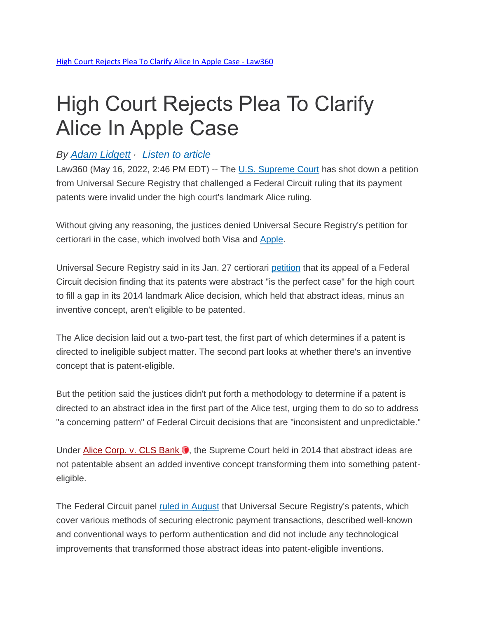## High Court Rejects Plea To Clarify Alice In Apple Case

## *By Adam [Lidgett](https://www.law360.com/ip/articles/1493594/high-court-rejects-plea-to-clarify-alice-in-apple-case) · [Listen](https://www.law360.com/ip/articles/1493594/high-court-rejects-plea-to-clarify-alice-in-apple-case) to article*

Law360 (May 16, 2022, 2:46 PM EDT) -- The [U.S. Supreme Court](https://www.law360.com/agencies/u-s-supreme-court) has shot down a petition from Universal Secure Registry that challenged a Federal Circuit ruling that its payment patents were invalid under the high court's landmark Alice ruling.

Without giving any reasoning, the justices denied Universal Secure Registry's petition for certiorari in the case, which involved both Visa and [Apple.](https://www.law360.com/companies/apple-inc)

Universal Secure Registry said in its Jan. 27 certiorari [petition](https://www.law360.com/articles/1461265) that its appeal of a Federal Circuit decision finding that its patents were abstract "is the perfect case" for the high court to fill a gap in its 2014 landmark Alice decision, which held that abstract ideas, minus an inventive concept, aren't eligible to be patented.

The Alice decision laid out a two-part test, the first part of which determines if a patent is directed to ineligible subject matter. The second part looks at whether there's an inventive concept that is patent-eligible.

But the petition said the justices didn't put forth a methodology to determine if a patent is directed to an abstract idea in the first part of the Alice test, urging them to do so to address "a concerning pattern" of Federal Circuit decisions that are "inconsistent and unpredictable."

Under [Alice Corp. v. CLS Bank](https://advance.lexis.com/api/search?q=2014%20U.S.%20LEXIS%204303&qlang=bool&origination=law360&internalOrigination=article_id%3D1493594%3Bcitation%3D2014%20U.S.%20LEXIS%204303&originationDetail=headline%3DHigh%20Court%20Rejects%20Plea%20To%20Clarify%20Alice%20In%20Apple%20Case&) . the Supreme Court held in 2014 that abstract ideas are not patentable absent an added inventive concept transforming them into something patenteligible.

The Federal Circuit panel ruled in [August](https://www.law360.com/articles/1416554) that Universal Secure Registry's patents, which cover various methods of securing electronic payment transactions, described well-known and conventional ways to perform authentication and did not include any technological improvements that transformed those abstract ideas into patent-eligible inventions.